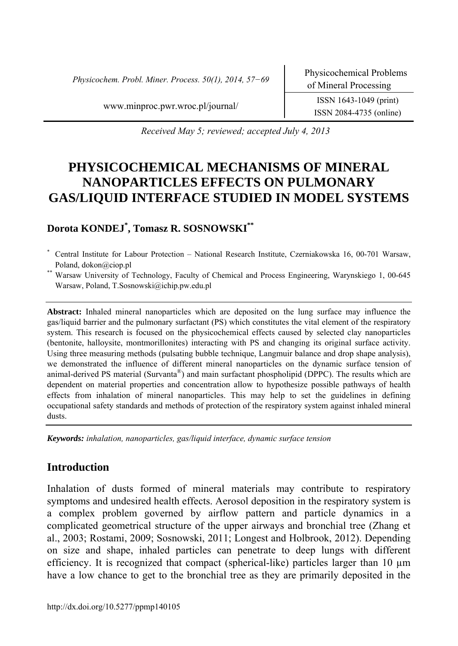*Physicochem. Probl. Miner. Process. 50(1), 2014, 57−69* Physicochemical Problems

ISSN 2084-4735 (online)

www.minproc.pwr.wroc.pl/journal/ ISSN 1643-1049 (print)

*Received May 5; reviewed; accepted July 4, 2013* 

# **PHYSICOCHEMICAL MECHANISMS OF MINERAL NANOPARTICLES EFFECTS ON PULMONARY GAS/LIQUID INTERFACE STUDIED IN MODEL SYSTEMS**

# **Dorota KONDEJ\* , Tomasz R. SOSNOWSKI\*\***

\* Central Institute for Labour Protection – National Research Institute, Czerniakowska 16, 00-701 Warsaw, Poland, dokon@ciop.pl<br>Warsaw University of Technology, Faculty of Chemical and Process Engineering, Warynskiego 1, 00-645

Warsaw, Poland, T.Sosnowski@ichip.pw.edu.pl

**Abstract:** Inhaled mineral nanoparticles which are deposited on the lung surface may influence the gas/liquid barrier and the pulmonary surfactant (PS) which constitutes the vital element of the respiratory system. This research is focused on the physicochemical effects caused by selected clay nanoparticles (bentonite, halloysite, montmorillonites) interacting with PS and changing its original surface activity. Using three measuring methods (pulsating bubble technique, Langmuir balance and drop shape analysis), we demonstrated the influence of different mineral nanoparticles on the dynamic surface tension of animal-derived PS material (Survanta $^{\circledast}$ ) and main surfactant phospholipid (DPPC). The results which are dependent on material properties and concentration allow to hypothesize possible pathways of health effects from inhalation of mineral nanoparticles. This may help to set the guidelines in defining occupational safety standards and methods of protection of the respiratory system against inhaled mineral dusts.

*Keywords: inhalation, nanoparticles, gas/liquid interface, dynamic surface tension* 

# **Introduction**

Inhalation of dusts formed of mineral materials may contribute to respiratory symptoms and undesired health effects. Aerosol deposition in the respiratory system is a complex problem governed by airflow pattern and particle dynamics in a complicated geometrical structure of the upper airways and bronchial tree (Zhang et al., 2003; Rostami, 2009; Sosnowski, 2011; Longest and Holbrook, 2012). Depending on size and shape, inhaled particles can penetrate to deep lungs with different efficiency. It is recognized that compact (spherical-like) particles larger than 10 µm have a low chance to get to the bronchial tree as they are primarily deposited in the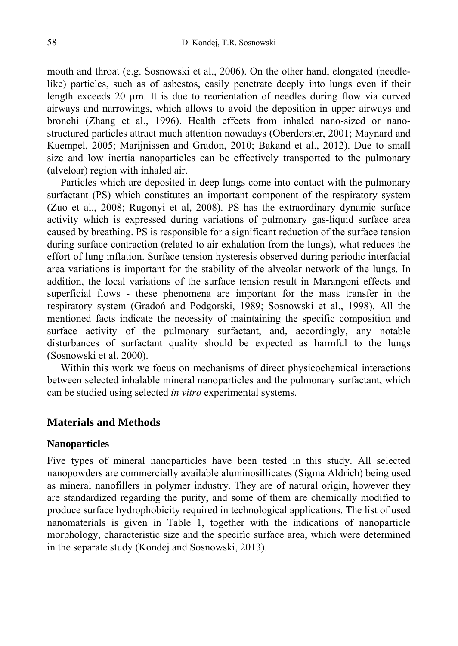mouth and throat (e.g. Sosnowski et al., 2006). On the other hand, elongated (needlelike) particles, such as of asbestos, easily penetrate deeply into lungs even if their length exceeds 20 µm. It is due to reorientation of needles during flow via curved airways and narrowings, which allows to avoid the deposition in upper airways and bronchi (Zhang et al., 1996). Health effects from inhaled nano-sized or nanostructured particles attract much attention nowadays (Oberdorster, 2001; Maynard and Kuempel, 2005; Marijnissen and Gradon, 2010; Bakand et al., 2012). Due to small size and low inertia nanoparticles can be effectively transported to the pulmonary (alveloar) region with inhaled air.

Particles which are deposited in deep lungs come into contact with the pulmonary surfactant (PS) which constitutes an important component of the respiratory system (Zuo et al., 2008; Rugonyi et al, 2008). PS has the extraordinary dynamic surface activity which is expressed during variations of pulmonary gas-liquid surface area caused by breathing. PS is responsible for a significant reduction of the surface tension during surface contraction (related to air exhalation from the lungs), what reduces the effort of lung inflation. Surface tension hysteresis observed during periodic interfacial area variations is important for the stability of the alveolar network of the lungs. In addition, the local variations of the surface tension result in Marangoni effects and superficial flows - these phenomena are important for the mass transfer in the respiratory system (Gradoń and Podgorski, 1989; Sosnowski et al., 1998). All the mentioned facts indicate the necessity of maintaining the specific composition and surface activity of the pulmonary surfactant, and, accordingly, any notable disturbances of surfactant quality should be expected as harmful to the lungs (Sosnowski et al, 2000).

Within this work we focus on mechanisms of direct physicochemical interactions between selected inhalable mineral nanoparticles and the pulmonary surfactant, which can be studied using selected *in vitro* experimental systems.

## **Materials and Methods**

## **Nanoparticles**

Five types of mineral nanoparticles have been tested in this study. All selected nanopowders are commercially available aluminosillicates (Sigma Aldrich) being used as mineral nanofillers in polymer industry. They are of natural origin, however they are standardized regarding the purity, and some of them are chemically modified to produce surface hydrophobicity required in technological applications. The list of used nanomaterials is given in Table 1, together with the indications of nanoparticle morphology, characteristic size and the specific surface area, which were determined in the separate study (Kondej and Sosnowski, 2013).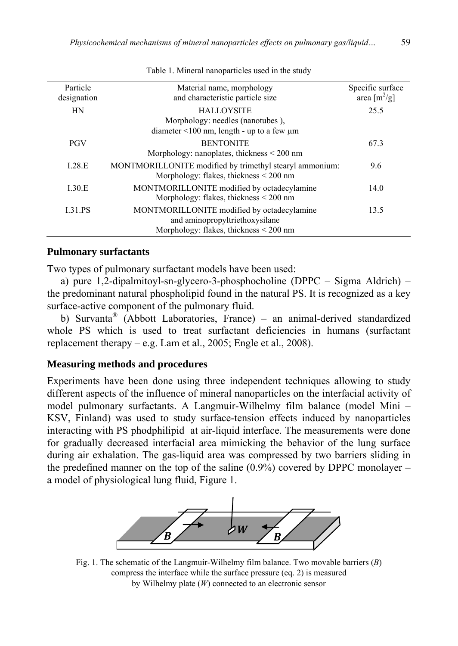| Particle<br>designation | Material name, morphology<br>and characteristic particle size                                                          | Specific surface<br>area $\lceil m^2/g \rceil$ |
|-------------------------|------------------------------------------------------------------------------------------------------------------------|------------------------------------------------|
| <b>HN</b>               | <b>HALLOYSITE</b><br>Morphology: needles (nanotubes),<br>diameter $\leq 100$ nm, length - up to a few $\mu$ m          | 25.5                                           |
| <b>PGV</b>              | <b>BENTONITE</b><br>Morphology: nanoplates, thickness $\leq 200$ nm                                                    | 67.3                                           |
| 1.28.E                  | MONTMORILLONITE modified by trimethyl stearyl ammonium:<br>Morphology: flakes, thickness $\leq 200$ nm                 | 9.6                                            |
| 1.30.E                  | MONTMORILLONITE modified by octadecylamine<br>Morphology: flakes, thickness $\leq 200$ nm                              | 14.0                                           |
| <b>I.31.PS</b>          | MONTMORILLONITE modified by octadecylamine<br>and aminopropyltriethoxysilane<br>Morphology: flakes, thickness < 200 nm | 13.5                                           |

Table 1. Mineral nanoparticles used in the study

#### **Pulmonary surfactants**

Two types of pulmonary surfactant models have been used:

a) pure 1,2-dipalmitoyl-sn-glycero-3-phosphocholine (DPPC – Sigma Aldrich) – the predominant natural phospholipid found in the natural PS. It is recognized as a key surface-active component of the pulmonary fluid.

b) Survanta® (Abbott Laboratories, France) – an animal-derived standardized whole PS which is used to treat surfactant deficiencies in humans (surfactant replacement therapy – e.g. Lam et al., 2005; Engle et al., 2008).

## **Measuring methods and procedures**

Experiments have been done using three independent techniques allowing to study different aspects of the influence of mineral nanoparticles on the interfacial activity of model pulmonary surfactants. A Langmuir-Wilhelmy film balance (model Mini – KSV, Finland) was used to study surface-tension effects induced by nanoparticles interacting with PS phodphilipid at air-liquid interface. The measurements were done for gradually decreased interfacial area mimicking the behavior of the lung surface during air exhalation. The gas-liquid area was compressed by two barriers sliding in the predefined manner on the top of the saline  $(0.9\%)$  covered by DPPC monolayer – a model of physiological lung fluid, Figure 1.



Fig. 1. The schematic of the Langmuir-Wilhelmy film balance. Two movable barriers (*B*) compress the interface while the surface pressure (eq. 2) is measured by Wilhelmy plate (*W*) connected to an electronic sensor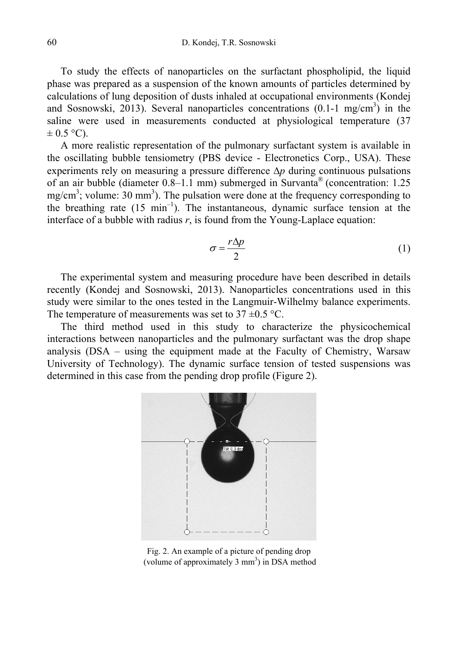To study the effects of nanoparticles on the surfactant phospholipid, the liquid phase was prepared as a suspension of the known amounts of particles determined by calculations of lung deposition of dusts inhaled at occupational environments (Kondej and Sosnowski, 2013). Several nanoparticles concentrations  $(0.1-1 \text{ mg/cm}^3)$  in the saline were used in measurements conducted at physiological temperature (37  $\pm$  0.5 °C).

A more realistic representation of the pulmonary surfactant system is available in the oscillating bubble tensiometry (PBS device - Electronetics Corp., USA). These experiments rely on measuring a pressure difference ∆*p* during continuous pulsations of an air bubble (diameter 0.8–1.1 mm) submerged in Survanta® (concentration: 1.25 mg/cm<sup>3</sup>; volume: 30 mm<sup>3</sup>). The pulsation were done at the frequency corresponding to the breathing rate  $(15 \text{ min}^{-1})$ . The instantaneous, dynamic surface tension at the interface of a bubble with radius  $r$ , is found from the Young-Laplace equation:

$$
\sigma = \frac{r\Delta p}{2} \tag{1}
$$

The experimental system and measuring procedure have been described in details recently (Kondej and Sosnowski, 2013). Nanoparticles concentrations used in this study were similar to the ones tested in the Langmuir-Wilhelmy balance experiments. The temperature of measurements was set to  $37 \pm 0.5$  °C.

The third method used in this study to characterize the physicochemical interactions between nanoparticles and the pulmonary surfactant was the drop shape analysis (DSA – using the equipment made at the Faculty of Chemistry, Warsaw University of Technology). The dynamic surface tension of tested suspensions was determined in this case from the pending drop profile (Figure 2).



Fig. 2. An example of a picture of pending drop (volume of approximately 3 mm<sup>3</sup>) in DSA method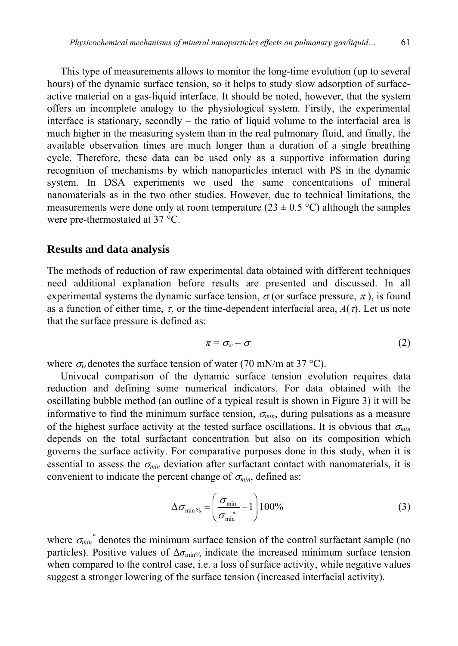This type of measurements allows to monitor the long-time evolution (up to several hours) of the dynamic surface tension, so it helps to study slow adsorption of surfaceactive material on a gas-liquid interface. It should be noted, however, that the system offers an incomplete analogy to the physiological system. Firstly, the experimental interface is stationary, secondly – the ratio of liquid volume to the interfacial area is much higher in the measuring system than in the real pulmonary fluid, and finally, the available observation times are much longer than a duration of a single breathing cycle. Therefore, these data can be used only as a supportive information during recognition of mechanisms by which nanoparticles interact with PS in the dynamic system. In DSA experiments we used the same concentrations of mineral nanomaterials as in the two other studies. However, due to technical limitations, the measurements were done only at room temperature (23  $\pm$  0.5 °C) although the samples were pre-thermostated at 37 °C.

## **Results and data analysis**

The methods of reduction of raw experimental data obtained with different techniques need additional explanation before results are presented and discussed. In all experimental systems the dynamic surface tension,  $\sigma$  (or surface pressure,  $\pi$ ), is found as a function of either time,  $\tau$ , or the time-dependent interfacial area,  $A(\tau)$ . Let us note that the surface pressure is defined as:

$$
\pi = \sigma_w - \sigma \tag{2}
$$

where  $\sigma_w$  denotes the surface tension of water (70 mN/m at 37 °C).

Univocal comparison of the dynamic surface tension evolution requires data reduction and defining some numerical indicators. For data obtained with the oscillating bubble method (an outline of a typical result is shown in Figure 3) it will be informative to find the minimum surface tension, <sup>σ</sup>*min*, during pulsations as a measure of the highest surface activity at the tested surface oscillations. It is obvious that <sup>σ</sup>*min* depends on the total surfactant concentration but also on its composition which governs the surface activity. For comparative purposes done in this study, when it is essential to assess the  $\sigma_{min}$  deviation after surfactant contact with nanomaterials, it is convenient to indicate the percent change of  $\sigma_{min}$ , defined as:

$$
\Delta \sigma_{\min\%} = \left(\frac{\sigma_{\min}}{\sigma_{\min}} - 1\right) 100\%
$$
 (3)

where  $\sigma_{min}^*$  denotes the minimum surface tension of the control surfactant sample (no particles). Positive values of ∆σ<sub>min%</sub> indicate the increased minimum surface tension when compared to the control case, i.e. a loss of surface activity, while negative values suggest a stronger lowering of the surface tension (increased interfacial activity).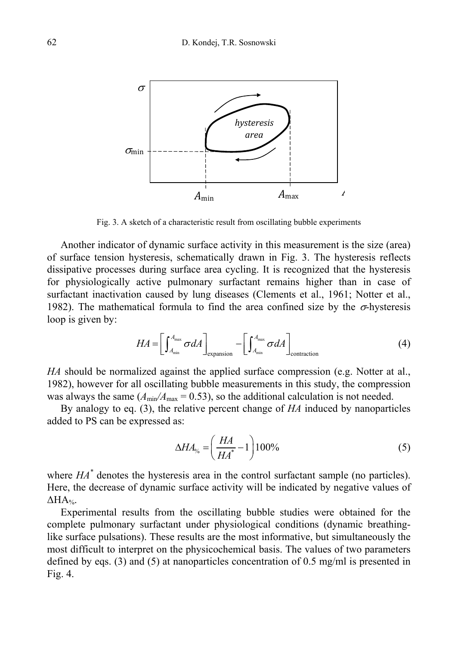

Fig. 3. A sketch of a characteristic result from oscillating bubble experiments

Another indicator of dynamic surface activity in this measurement is the size (area) of surface tension hysteresis, schematically drawn in Fig. 3. The hysteresis reflects dissipative processes during surface area cycling. It is recognized that the hysteresis for physiologically active pulmonary surfactant remains higher than in case of surfactant inactivation caused by lung diseases (Clements et al., 1961; Notter et al., 1982). The mathematical formula to find the area confined size by the  $\sigma$ -hysteresis loop is given by:

$$
HA = \left[ \int_{A_{\min}}^{A_{\max}} \sigma dA \right]_{\text{expansion}} - \left[ \int_{A_{\min}}^{A_{\max}} \sigma dA \right]_{\text{contraction}}
$$
(4)

*HA* should be normalized against the applied surface compression (e.g. Notter at al., 1982), however for all oscillating bubble measurements in this study, the compression was always the same  $(A_{\text{min}}/A_{\text{max}} = 0.53)$ , so the additional calculation is not needed.

By analogy to eq. (3), the relative percent change of *HA* induced by nanoparticles added to PS can be expressed as:

$$
\Delta H A_{\%} = \left(\frac{HA}{HA^*} - 1\right) 100\% \tag{5}
$$

where  $HA^*$  denotes the hysteresis area in the control surfactant sample (no particles). Here, the decrease of dynamic surface activity will be indicated by negative values of  $\Delta H A_{\%}$ .

Experimental results from the oscillating bubble studies were obtained for the complete pulmonary surfactant under physiological conditions (dynamic breathinglike surface pulsations). These results are the most informative, but simultaneously the most difficult to interpret on the physicochemical basis. The values of two parameters defined by eqs. (3) and (5) at nanoparticles concentration of 0.5 mg/ml is presented in Fig. 4.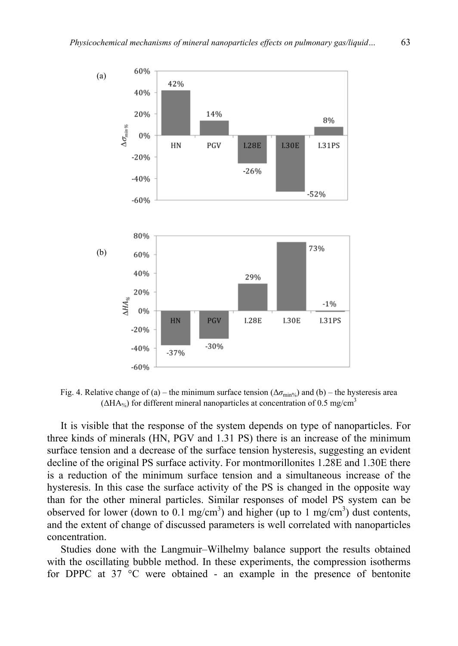

Fig. 4. Relative change of (a) – the minimum surface tension (∆*σ*min%) and (b) – the hysteresis area  $(\Delta HA_{\%})$  for different mineral nanoparticles at concentration of 0.5 mg/cm<sup>3</sup>

It is visible that the response of the system depends on type of nanoparticles. For three kinds of minerals (HN, PGV and 1.31 PS) there is an increase of the minimum surface tension and a decrease of the surface tension hysteresis, suggesting an evident decline of the original PS surface activity. For montmorillonites 1.28E and 1.30E there is a reduction of the minimum surface tension and a simultaneous increase of the hysteresis. In this case the surface activity of the PS is changed in the opposite way than for the other mineral particles. Similar responses of model PS system can be observed for lower (down to 0.1 mg/cm<sup>3</sup>) and higher (up to 1 mg/cm<sup>3</sup>) dust contents, and the extent of change of discussed parameters is well correlated with nanoparticles concentration.

Studies done with the Langmuir–Wilhelmy balance support the results obtained with the oscillating bubble method. In these experiments, the compression isotherms for DPPC at 37 °C were obtained - an example in the presence of bentonite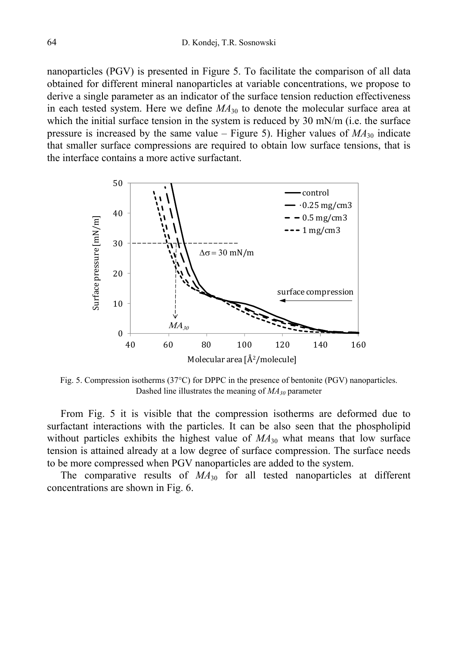nanoparticles (PGV) is presented in Figure 5. To facilitate the comparison of all data obtained for different mineral nanoparticles at variable concentrations, we propose to derive a single parameter as an indicator of the surface tension reduction effectiveness in each tested system. Here we define  $MA<sub>30</sub>$  to denote the molecular surface area at which the initial surface tension in the system is reduced by 30 mN/m (i.e. the surface pressure is increased by the same value – Figure 5). Higher values of  $MA_{30}$  indicate that smaller surface compressions are required to obtain low surface tensions, that is the interface contains a more active surfactant.



Fig. 5. Compression isotherms (37°C) for DPPC in the presence of bentonite (PGV) nanoparticles. Dashed line illustrates the meaning of *MA30* parameter

From Fig. 5 it is visible that the compression isotherms are deformed due to surfactant interactions with the particles. It can be also seen that the phospholipid without particles exhibits the highest value of  $MA<sub>30</sub>$  what means that low surface tension is attained already at a low degree of surface compression. The surface needs to be more compressed when PGV nanoparticles are added to the system.

The comparative results of  $MA_{30}$  for all tested nanoparticles at different concentrations are shown in Fig. 6.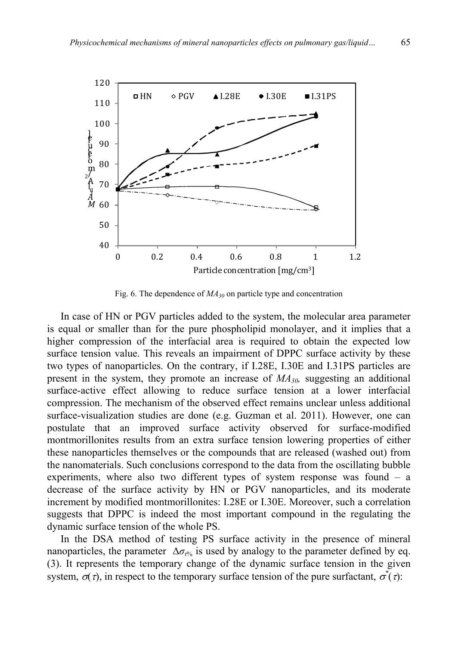

Fig. 6. The dependence of  $MA_{30}$  on particle type and concentration

In case of HN or PGV particles added to the system, the molecular area parameter is equal or smaller than for the pure phospholipid monolayer, and it implies that a higher compression of the interfacial area is required to obtain the expected low surface tension value. This reveals an impairment of DPPC surface activity by these two types of nanoparticles. On the contrary, if I.28E, I.30E and I.31PS particles are present in the system, they promote an increase of *MA30,* suggesting an additional surface-active effect allowing to reduce surface tension at a lower interfacial compression. The mechanism of the observed effect remains unclear unless additional surface-visualization studies are done (e.g. Guzman et al. 2011). However, one can postulate that an improved surface activity observed for surface-modified montmorillonites results from an extra surface tension lowering properties of either these nanoparticles themselves or the compounds that are released (washed out) from the nanomaterials. Such conclusions correspond to the data from the oscillating bubble experiments, where also two different types of system response was found – a decrease of the surface activity by HN or PGV nanoparticles, and its moderate increment by modified montmorillonites: I.28E or I.30E. Moreover, such a correlation suggests that DPPC is indeed the most important compound in the regulating the dynamic surface tension of the whole PS.

In the DSA method of testing PS surface activity in the presence of mineral nanoparticles, the parameter  $\Delta \sigma_{\tau\%}$  is used by analogy to the parameter defined by eq. (3). It represents the temporary change of the dynamic surface tension in the given system,  $\sigma(\tau)$ , in respect to the temporary surface tension of the pure surfactant,  $\sigma^*(\tau)$ :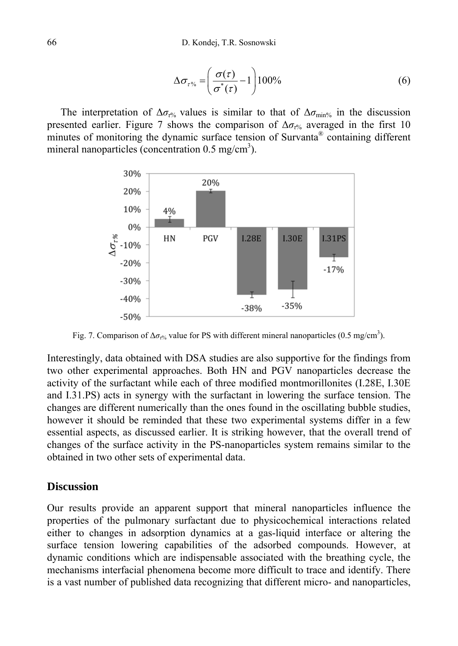$$
\Delta \sigma_{\tau\%} = \left(\frac{\sigma(\tau)}{\sigma^*(\tau)} - 1\right) 100\% \tag{6}
$$

The interpretation of  $\Delta \sigma_{\tau}$  values is similar to that of  $\Delta \sigma_{\text{min}\%}$  in the discussion presented earlier. Figure 7 shows the comparison of  $\Delta \sigma_{\tau}$  averaged in the first 10 minutes of monitoring the dynamic surface tension of Survanta® containing different mineral nanoparticles (concentration  $0.5 \text{ mg/cm}^3$ ).



Fig. 7. Comparison of  $\Delta \sigma_{t\%}$  value for PS with different mineral nanoparticles (0.5 mg/cm<sup>3</sup>).

Interestingly, data obtained with DSA studies are also supportive for the findings from two other experimental approaches. Both HN and PGV nanoparticles decrease the activity of the surfactant while each of three modified montmorillonites (I.28E, I.30E and I.31.PS) acts in synergy with the surfactant in lowering the surface tension. The changes are different numerically than the ones found in the oscillating bubble studies, however it should be reminded that these two experimental systems differ in a few essential aspects, as discussed earlier. It is striking however, that the overall trend of changes of the surface activity in the PS-nanoparticles system remains similar to the obtained in two other sets of experimental data.

## **Discussion**

Our results provide an apparent support that mineral nanoparticles influence the properties of the pulmonary surfactant due to physicochemical interactions related either to changes in adsorption dynamics at a gas-liquid interface or altering the surface tension lowering capabilities of the adsorbed compounds. However, at dynamic conditions which are indispensable associated with the breathing cycle, the mechanisms interfacial phenomena become more difficult to trace and identify. There is a vast number of published data recognizing that different micro- and nanoparticles,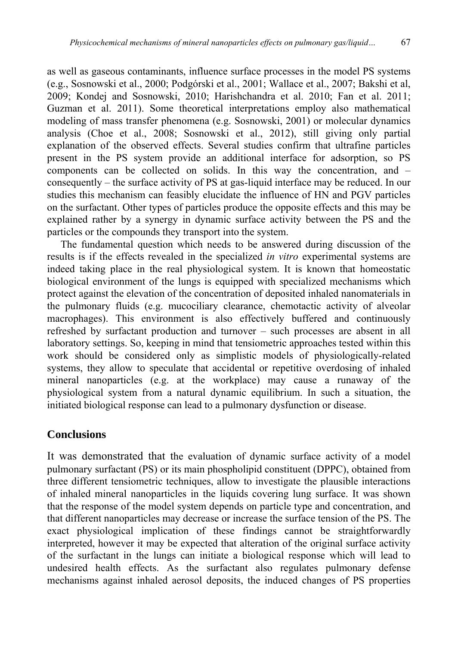as well as gaseous contaminants, influence surface processes in the model PS systems (e.g., Sosnowski et al., 2000; Podgórski et al., 2001; Wallace et al., 2007; Bakshi et al, 2009; Kondej and Sosnowski, 2010; Harishchandra et al. 2010; Fan et al. 2011; Guzman et al. 2011). Some theoretical interpretations employ also mathematical modeling of mass transfer phenomena (e.g. Sosnowski, 2001) or molecular dynamics analysis (Choe et al., 2008; Sosnowski et al., 2012), still giving only partial explanation of the observed effects. Several studies confirm that ultrafine particles present in the PS system provide an additional interface for adsorption, so PS components can be collected on solids. In this way the concentration, and – consequently – the surface activity of PS at gas-liquid interface may be reduced. In our studies this mechanism can feasibly elucidate the influence of HN and PGV particles on the surfactant. Other types of particles produce the opposite effects and this may be explained rather by a synergy in dynamic surface activity between the PS and the particles or the compounds they transport into the system.

The fundamental question which needs to be answered during discussion of the results is if the effects revealed in the specialized *in vitro* experimental systems are indeed taking place in the real physiological system. It is known that homeostatic biological environment of the lungs is equipped with specialized mechanisms which protect against the elevation of the concentration of deposited inhaled nanomaterials in the pulmonary fluids (e.g. mucociliary clearance, chemotactic activity of alveolar macrophages). This environment is also effectively buffered and continuously refreshed by surfactant production and turnover – such processes are absent in all laboratory settings. So, keeping in mind that tensiometric approaches tested within this work should be considered only as simplistic models of physiologically-related systems, they allow to speculate that accidental or repetitive overdosing of inhaled mineral nanoparticles (e.g. at the workplace) may cause a runaway of the physiological system from a natural dynamic equilibrium. In such a situation, the initiated biological response can lead to a pulmonary dysfunction or disease.

## **Conclusions**

It was demonstrated that the evaluation of dynamic surface activity of a model pulmonary surfactant (PS) or its main phospholipid constituent (DPPC), obtained from three different tensiometric techniques, allow to investigate the plausible interactions of inhaled mineral nanoparticles in the liquids covering lung surface. It was shown that the response of the model system depends on particle type and concentration, and that different nanoparticles may decrease or increase the surface tension of the PS. The exact physiological implication of these findings cannot be straightforwardly interpreted, however it may be expected that alteration of the original surface activity of the surfactant in the lungs can initiate a biological response which will lead to undesired health effects. As the surfactant also regulates pulmonary defense mechanisms against inhaled aerosol deposits, the induced changes of PS properties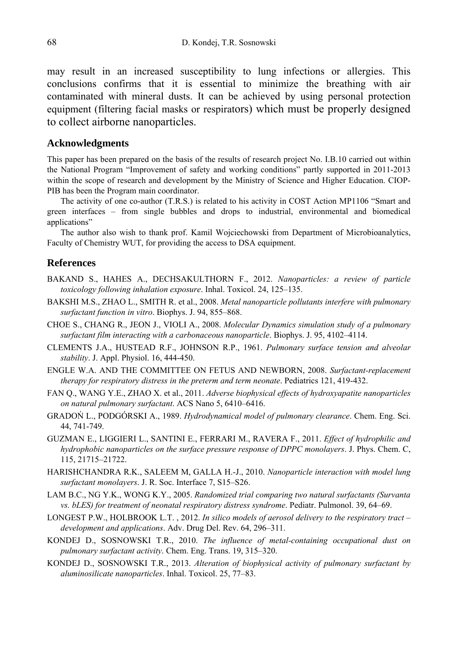may result in an increased susceptibility to lung infections or allergies. This conclusions confirms that it is essential to minimize the breathing with air contaminated with mineral dusts. It can be achieved by using personal protection equipment (filtering facial masks or respirators) which must be properly designed to collect airborne nanoparticles.

#### **Acknowledgments**

This paper has been prepared on the basis of the results of research project No. I.B.10 carried out within the National Program "Improvement of safety and working conditions" partly supported in 2011-2013 within the scope of research and development by the Ministry of Science and Higher Education. CIOP-PIB has been the Program main coordinator.

The activity of one co-author (T.R.S.) is related to his activity in COST Action MP1106 "Smart and green interfaces – from single bubbles and drops to industrial, environmental and biomedical applications"

The author also wish to thank prof. Kamil Wojciechowski from Department of Microbioanalytics, Faculty of Chemistry WUT, for providing the access to DSA equipment.

#### **References**

- BAKAND S., HAHES A., DECHSAKULTHORN F., 2012. *Nanoparticles: a review of particle toxicology following inhalation exposure*. Inhal. Toxicol. 24, 125–135.
- BAKSHI M.S., ZHAO L., SMITH R. et al., 2008. *Metal nanoparticle pollutants interfere with pulmonary surfactant function in vitro*. Biophys. J. 94, 855–868.
- CHOE S., CHANG R., JEON J., VIOLI A., 2008. *Molecular Dynamics simulation study of a pulmonary surfactant film interacting with a carbonaceous nanoparticle*. Biophys. J. 95, 4102–4114.
- CLEMENTS J.A., HUSTEAD R.F., JOHNSON R.P., 1961. *Pulmonary surface tension and alveolar stability*. J. Appl. Physiol. 16, 444-450.
- ENGLE W.A. AND THE COMMITTEE ON FETUS AND NEWBORN, 2008. *Surfactant-replacement therapy for respiratory distress in the preterm and term neonate*. Pediatrics 121, 419-432.
- FAN Q., WANG Y.E., ZHAO X. et al., 2011. *Adverse biophysical effects of hydroxyapatite nanoparticles on natural pulmonary surfactant*. ACS Nano 5, 6410–6416.
- GRADOŃ L., PODGÓRSKI A., 1989. *Hydrodynamical model of pulmonary clearance*. Chem. Eng. Sci. 44, 741-749.
- GUZMAN E., LIGGIERI L., SANTINI E., FERRARI M., RAVERA F., 2011. *Effect of hydrophilic and hydrophobic nanoparticles on the surface pressure response of DPPC monolayers*. J. Phys. Chem. C, 115, 21715–21722.
- HARISHCHANDRA R.K., SALEEM M, GALLA H.-J., 2010. *Nanoparticle interaction with model lung surfactant monolayers*. J. R. Soc. Interface 7, S15–S26.
- LAM B.C., NG Y.K., WONG K.Y., 2005. *Randomized trial comparing two natural surfactants (Survanta vs. bLES) for treatment of neonatal respiratory distress syndrome*. Pediatr. Pulmonol. 39, 64–69.
- LONGEST P.W., HOLBROOK L.T. , 2012. *In silico models of aerosol delivery to the respiratory tract development and applications*. Adv. Drug Del. Rev. 64, 296–311.
- KONDEJ D., SOSNOWSKI T.R., 2010. *The influence of metal-containing occupational dust on pulmonary surfactant activity*. Chem. Eng. Trans. 19, 315–320.
- KONDEJ D., SOSNOWSKI T.R., 2013. *Alteration of biophysical activity of pulmonary surfactant by aluminosilicate nanoparticles*. Inhal. Toxicol. 25, 77–83.